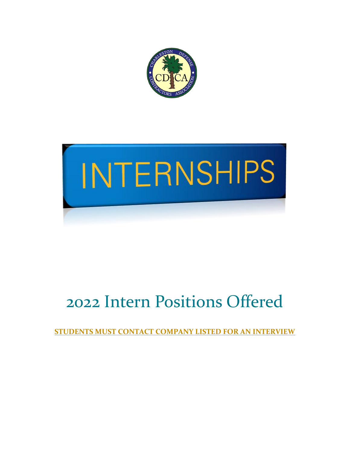



# 2022 Intern Positions Offered

**STUDENTS MUST CONTACT COMPANY LISTED FOR AN INTERVIEW**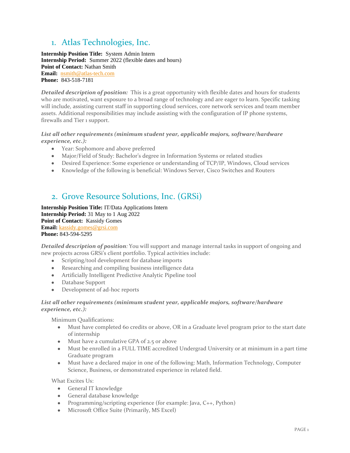# 1. Atlas Technologies, Inc.

**Internship Position Title:** System Admin Intern **Internship Period:** Summer 2022 (flexible dates and hours) **Point of Contact:** Nathan Smith **Email:** [nsmith@atlas-tech.com](mailto:nsmith@atlas-tech.com)  **Phone:** 843-518-7181

*Detailed description of position:* This is a great opportunity with flexible dates and hours for students who are motivated, want exposure to a broad range of technology and are eager to learn. Specific tasking will include, assisting current staff in supporting cloud services, core network services and team member assets. Additional responsibilities may include assisting with the configuration of IP phone systems, firewalls and Tier 1 support.

## *List all other requirements (minimum student year, applicable majors, software/hardware experience, etc.):*

- Year: Sophomore and above preferred
- Major/Field of Study: Bachelor's degree in Information Systems or related studies
- Desired Experience: Some experience or understanding of TCP/IP, Windows, Cloud services
- Knowledge of the following is beneficial: Windows Server, Cisco Switches and Routers

## 2. Grove Resource Solutions, Inc. (GRSi)

**Internship Position Title:** IT/Data Applications Intern **Internship Period:** 31 May to 1 Aug 2022 **Point of Contact:** Kassidy Gomes **Email:** [kassidy.gomes@grsi.com](mailto:kassidy.gomes@grsi.com) **Phone:** 843-594-5295

*Detailed description of position:* You will support and manage internal tasks in support of ongoing and new projects across GRSi's client portfolio. Typical activities include:

- Scripting/tool development for database imports
- Researching and compiling business intelligence data
- Artificially Intelligent Predictive Analytic Pipeline tool
- Database Support
- Development of ad-hoc reports

## *List all other requirements (minimum student year, applicable majors, software/hardware experience, etc.):*

Minimum Qualifications:  

- Must have completed 60 credits or above, OR in a Graduate level program prior to the start date of internship
- Must have a cumulative GPA of 2.5 or above
- Must be enrolled in a FULL TIME accredited Undergrad University or at minimum in a part time Graduate program
- Must have a declared major in one of the following: Math, Information Technology, Computer Science, Business, or demonstrated experience in related field.

What Excites Us:  

- General IT knowledge
- General database knowledge
- Programming/scripting experience (for example: Java, C++, Python)
- Microsoft Office Suite (Primarily, MS Excel)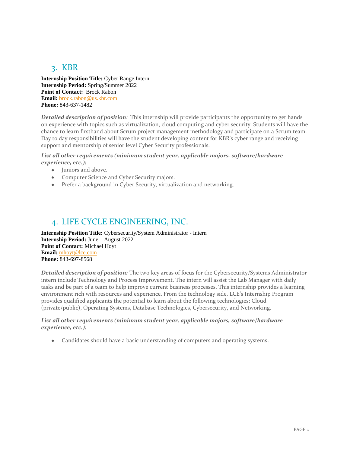# 3. KBR

**Internship Position Title:** Cyber Range Intern **Internship Period:** Spring/Summer 2022 **Point of Contact:** Brock Rabon **Email:** [brock.rabon@us.kbr.com](mailto:brock.rabon@us.kbr.com) **Phone:** 843-637-1482

*Detailed description of position:* This internship will provide participants the opportunity to get hands on experience with topics such as virtualization, cloud computing and cyber security. Students will have the chance to learn firsthand about Scrum project management methodology and participate on a Scrum team. Day to day responsibilities will have the student developing content for KBR's cyber range and receiving support and mentorship of senior level Cyber Security professionals.

## *List all other requirements (minimum student year, applicable majors, software/hardware experience, etc.):*

- Juniors and above.
- Computer Science and Cyber Security majors.
- Prefer a background in Cyber Security, virtualization and networking.

## 4. LIFE CYCLE ENGINEERING, INC.

**Internship Position Title:** Cybersecurity/System Administrator - Intern **Internship Period:** June – August 2022 **Point of Contact:** Michael Hoyt **Email:** [mhoyt@lce.com](mailto:mhoyt@lce.com) **Phone:** 843-697-8568

*Detailed description of position:* The two key areas of focus for the Cybersecurity/Systems Administrator intern include Technology and Process Improvement. The intern will assist the Lab Manager with daily tasks and be part of a team to help improve current business processes. This internship provides a learning environment rich with resources and experience. From the technology side, LCE's Internship Program provides qualified applicants the potential to learn about the following technologies: Cloud (private/public), Operating Systems, Database Technologies, Cybersecurity, and Networking.

#### *List all other requirements (minimum student year, applicable majors, software/hardware experience, etc.):*

• Candidates should have a basic understanding of computers and operating systems.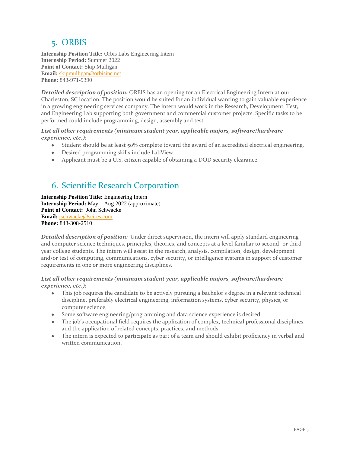## 5. ORBIS

**Internship Position Title:** Orbis Labs Engineering Intern **Internship Period:** Summer 2022 **Point of Contact:** Skip Mulligan **Email:** [skipmulligan@orbisinc.net](mailto:skipmulligan@orbisinc.net) **Phone:** 843-971-9390

*Detailed description of position:* ORBIS has an opening for an Electrical Engineering Intern at our Charleston, SC location. The position would be suited for an individual wanting to gain valuable experience in a growing engineering services company. The intern would work in the Research, Development, Test, and Engineering Lab supporting both government and commercial customer projects. Specific tasks to be performed could include programming, design, assembly and test.

#### *List all other requirements (minimum student year, applicable majors, software/hardware experience, etc.):*

- Student should be at least 50% complete toward the award of an accredited electrical engineering.
- Desired programming skills include LabView.
- Applicant must be a U.S. citizen capable of obtaining a DOD security clearance.

## 6. Scientific Research Corporation

**Internship Position Title:** Engineering Intern **Internship Period:** May – Aug 2022 (approximate) **Point of Contact:** John Schwacke **Email:** [jschwacke@scires.com](mailto:jschwacke@scires.com) **Phone:** 843-308-2510

*Detailed description of position:* Under direct supervision, the intern will apply standard engineering and computer science techniques, principles, theories, and concepts at a level familiar to second- or thirdyear college students. The intern will assist in the research, analysis, compilation, design, development and/or test of computing, communications, cyber security, or intelligence systems in support of customer requirements in one or more engineering disciplines.

## *List all other requirements (minimum student year, applicable majors, software/hardware experience, etc.):*

- This job requires the candidate to be actively pursuing a bachelor's degree in a relevant technical discipline, preferably electrical engineering, information systems, cyber security, physics, or computer science.
- Some software engineering/programming and data science experience is desired.
- The job's occupational field requires the application of complex, technical professional disciplines and the application of related concepts, practices, and methods.
- The intern is expected to participate as part of a team and should exhibit proficiency in verbal and written communication.